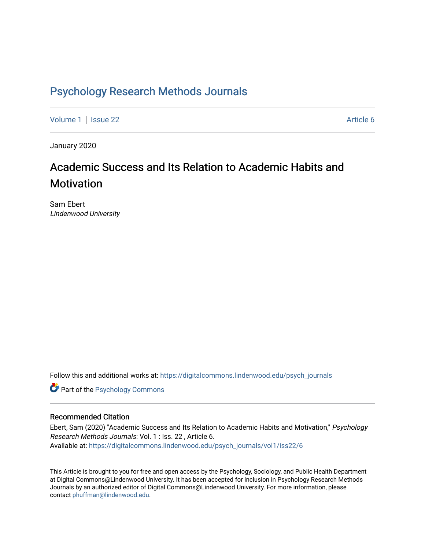# [Psychology Research Methods Journals](https://digitalcommons.lindenwood.edu/psych_journals)

[Volume 1](https://digitalcommons.lindenwood.edu/psych_journals/vol1) | [Issue 22](https://digitalcommons.lindenwood.edu/psych_journals/vol1/iss22) Article 6

January 2020

# Academic Success and Its Relation to Academic Habits and **Motivation**

Sam Ebert Lindenwood University

Follow this and additional works at: [https://digitalcommons.lindenwood.edu/psych\\_journals](https://digitalcommons.lindenwood.edu/psych_journals?utm_source=digitalcommons.lindenwood.edu%2Fpsych_journals%2Fvol1%2Fiss22%2F6&utm_medium=PDF&utm_campaign=PDFCoverPages) 

**Part of the Psychology Commons** 

#### Recommended Citation

Ebert, Sam (2020) "Academic Success and Its Relation to Academic Habits and Motivation," Psychology Research Methods Journals: Vol. 1 : Iss. 22 , Article 6. Available at: [https://digitalcommons.lindenwood.edu/psych\\_journals/vol1/iss22/6](https://digitalcommons.lindenwood.edu/psych_journals/vol1/iss22/6?utm_source=digitalcommons.lindenwood.edu%2Fpsych_journals%2Fvol1%2Fiss22%2F6&utm_medium=PDF&utm_campaign=PDFCoverPages) 

This Article is brought to you for free and open access by the Psychology, Sociology, and Public Health Department at Digital Commons@Lindenwood University. It has been accepted for inclusion in Psychology Research Methods Journals by an authorized editor of Digital Commons@Lindenwood University. For more information, please contact [phuffman@lindenwood.edu.](mailto:phuffman@lindenwood.edu)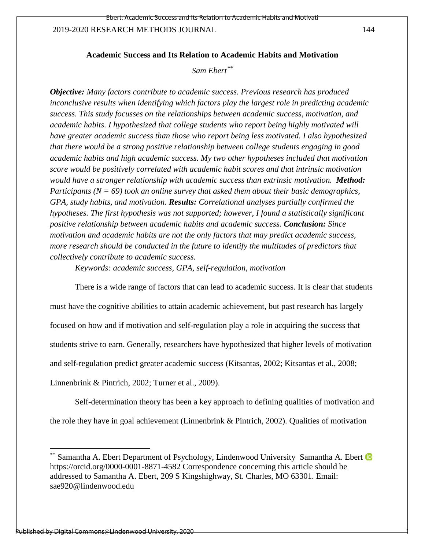1

#### **Academic Success and Its Relation to Academic Habits and Motivation**

*Sam Ebert[\\*\\*](#page-1-0)*

*Objective: Many factors contribute to academic success. Previous research has produced inconclusive results when identifying which factors play the largest role in predicting academic success. This study focusses on the relationships between academic success, motivation, and academic habits. I hypothesized that college students who report being highly motivated will have greater academic success than those who report being less motivated. I also hypothesized that there would be a strong positive relationship between college students engaging in good academic habits and high academic success. My two other hypotheses included that motivation score would be positively correlated with academic habit scores and that intrinsic motivation would have a stronger relationship with academic success than extrinsic motivation. Method: Participants (N = 69) took an online survey that asked them about their basic demographics, GPA, study habits, and motivation. Results: Correlational analyses partially confirmed the hypotheses. The first hypothesis was not supported; however, I found a statistically significant positive relationship between academic habits and academic success. Conclusion: Since motivation and academic habits are not the only factors that may predict academic success, more research should be conducted in the future to identify the multitudes of predictors that collectively contribute to academic success.* 

*Keywords: academic success, GPA, self-regulation, motivation* 

There is a wide range of factors that can lead to academic success. It is clear that students must have the cognitive abilities to attain academic achievement, but past research has largely focused on how and if motivation and self-regulation play a role in acquiring the success that students strive to earn. Generally, researchers have hypothesized that higher levels of motivation and self-regulation predict greater academic success (Kitsantas, 2002; Kitsantas et al., 2008; Linnenbrink & Pintrich, 2002; Turner et al., 2009).

Self-determination theory has been a key approach to defining qualities of motivation and the role they have in goal achievement (Linnenbrink & Pintrich, 2002). Qualities of motivation

l

<span id="page-1-0"></span>Samantha A. Ebert Department of Psychology, Lindenwood University Samantha A. Ebert https://orcid.org/0000-0001-8871-4582 Correspondence concerning this article should be addressed to Samantha A. Ebert, 209 S Kingshighway, St. Charles, MO 63301. Email: [sae920@lindenwood.edu](mailto:sae920@lindenwood.edu)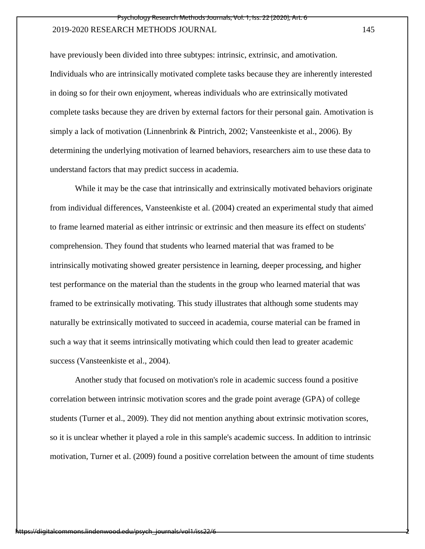have previously been divided into three subtypes: intrinsic, extrinsic, and amotivation. Individuals who are intrinsically motivated complete tasks because they are inherently interested in doing so for their own enjoyment, whereas individuals who are extrinsically motivated complete tasks because they are driven by external factors for their personal gain. Amotivation is simply a lack of motivation (Linnenbrink & Pintrich, 2002; Vansteenkiste et al., 2006). By determining the underlying motivation of learned behaviors, researchers aim to use these data to understand factors that may predict success in academia.

While it may be the case that intrinsically and extrinsically motivated behaviors originate from individual differences, Vansteenkiste et al. (2004) created an experimental study that aimed to frame learned material as either intrinsic or extrinsic and then measure its effect on students' comprehension. They found that students who learned material that was framed to be intrinsically motivating showed greater persistence in learning, deeper processing, and higher test performance on the material than the students in the group who learned material that was framed to be extrinsically motivating. This study illustrates that although some students may naturally be extrinsically motivated to succeed in academia, course material can be framed in such a way that it seems intrinsically motivating which could then lead to greater academic success (Vansteenkiste et al., 2004).

Another study that focused on motivation's role in academic success found a positive correlation between intrinsic motivation scores and the grade point average (GPA) of college students (Turner et al., 2009). They did not mention anything about extrinsic motivation scores, so it is unclear whether it played a role in this sample's academic success. In addition to intrinsic motivation, Turner et al. (2009) found a positive correlation between the amount of time students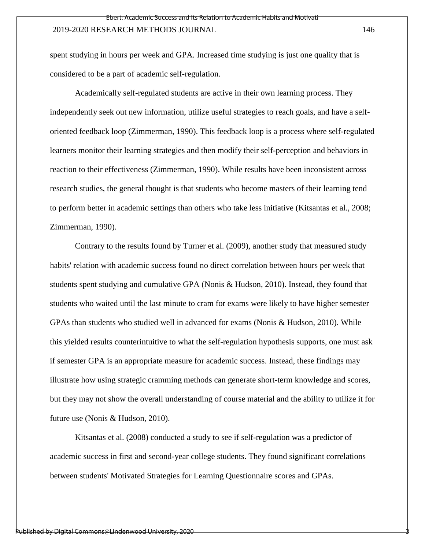spent studying in hours per week and GPA. Increased time studying is just one quality that is considered to be a part of academic self-regulation.

Academically self-regulated students are active in their own learning process. They independently seek out new information, utilize useful strategies to reach goals, and have a selforiented feedback loop (Zimmerman, 1990). This feedback loop is a process where self-regulated learners monitor their learning strategies and then modify their self-perception and behaviors in reaction to their effectiveness (Zimmerman, 1990). While results have been inconsistent across research studies, the general thought is that students who become masters of their learning tend to perform better in academic settings than others who take less initiative (Kitsantas et al., 2008; Zimmerman, 1990).

Contrary to the results found by Turner et al. (2009), another study that measured study habits' relation with academic success found no direct correlation between hours per week that students spent studying and cumulative GPA (Nonis & Hudson, 2010). Instead, they found that students who waited until the last minute to cram for exams were likely to have higher semester GPAs than students who studied well in advanced for exams (Nonis & Hudson, 2010). While this yielded results counterintuitive to what the self-regulation hypothesis supports, one must ask if semester GPA is an appropriate measure for academic success. Instead, these findings may illustrate how using strategic cramming methods can generate short-term knowledge and scores, but they may not show the overall understanding of course material and the ability to utilize it for future use (Nonis & Hudson, 2010).

Kitsantas et al. (2008) conducted a study to see if self-regulation was a predictor of academic success in first and second-year college students. They found significant correlations between students' Motivated Strategies for Learning Questionnaire scores and GPAs.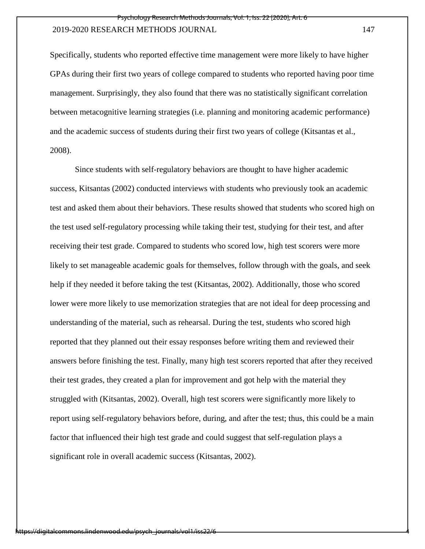Specifically, students who reported effective time management were more likely to have higher GPAs during their first two years of college compared to students who reported having poor time management. Surprisingly, they also found that there was no statistically significant correlation between metacognitive learning strategies (i.e. planning and monitoring academic performance) and the academic success of students during their first two years of college (Kitsantas et al., 2008).

Since students with self-regulatory behaviors are thought to have higher academic success, Kitsantas (2002) conducted interviews with students who previously took an academic test and asked them about their behaviors. These results showed that students who scored high on the test used self-regulatory processing while taking their test, studying for their test, and after receiving their test grade. Compared to students who scored low, high test scorers were more likely to set manageable academic goals for themselves, follow through with the goals, and seek help if they needed it before taking the test (Kitsantas, 2002). Additionally, those who scored lower were more likely to use memorization strategies that are not ideal for deep processing and understanding of the material, such as rehearsal. During the test, students who scored high reported that they planned out their essay responses before writing them and reviewed their answers before finishing the test. Finally, many high test scorers reported that after they received their test grades, they created a plan for improvement and got help with the material they struggled with (Kitsantas, 2002). Overall, high test scorers were significantly more likely to report using self-regulatory behaviors before, during, and after the test; thus, this could be a main factor that influenced their high test grade and could suggest that self-regulation plays a significant role in overall academic success (Kitsantas, 2002).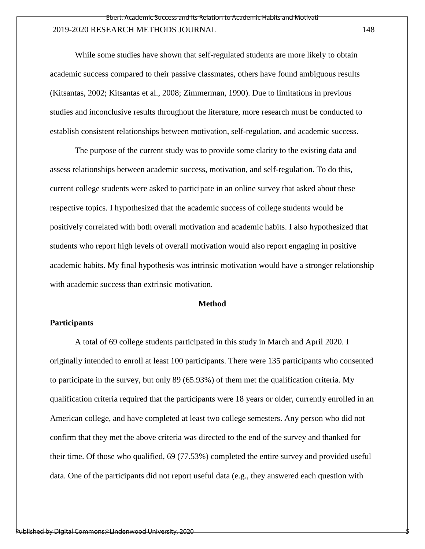While some studies have shown that self-regulated students are more likely to obtain academic success compared to their passive classmates, others have found ambiguous results (Kitsantas, 2002; Kitsantas et al., 2008; Zimmerman, 1990). Due to limitations in previous studies and inconclusive results throughout the literature, more research must be conducted to establish consistent relationships between motivation, self-regulation, and academic success.

The purpose of the current study was to provide some clarity to the existing data and assess relationships between academic success, motivation, and self-regulation. To do this, current college students were asked to participate in an online survey that asked about these respective topics. I hypothesized that the academic success of college students would be positively correlated with both overall motivation and academic habits. I also hypothesized that students who report high levels of overall motivation would also report engaging in positive academic habits. My final hypothesis was intrinsic motivation would have a stronger relationship with academic success than extrinsic motivation.

#### **Method**

#### **Participants**

 A total of 69 college students participated in this study in March and April 2020. I originally intended to enroll at least 100 participants. There were 135 participants who consented to participate in the survey, but only 89 (65.93%) of them met the qualification criteria. My qualification criteria required that the participants were 18 years or older, currently enrolled in an American college, and have completed at least two college semesters. Any person who did not confirm that they met the above criteria was directed to the end of the survey and thanked for their time. Of those who qualified, 69 (77.53%) completed the entire survey and provided useful data. One of the participants did not report useful data (e.g., they answered each question with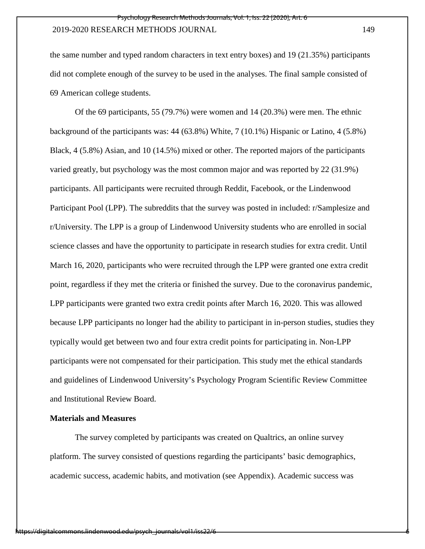the same number and typed random characters in text entry boxes) and 19 (21.35%) participants did not complete enough of the survey to be used in the analyses. The final sample consisted of 69 American college students.

Of the 69 participants, 55 (79.7%) were women and 14 (20.3%) were men. The ethnic background of the participants was: 44 (63.8%) White, 7 (10.1%) Hispanic or Latino, 4 (5.8%) Black, 4 (5.8%) Asian, and 10 (14.5%) mixed or other. The reported majors of the participants varied greatly, but psychology was the most common major and was reported by 22 (31.9%) participants. All participants were recruited through Reddit, Facebook, or the Lindenwood Participant Pool (LPP). The subreddits that the survey was posted in included: r/Samplesize and r/University. The LPP is a group of Lindenwood University students who are enrolled in social science classes and have the opportunity to participate in research studies for extra credit. Until March 16, 2020, participants who were recruited through the LPP were granted one extra credit point, regardless if they met the criteria or finished the survey. Due to the coronavirus pandemic, LPP participants were granted two extra credit points after March 16, 2020. This was allowed because LPP participants no longer had the ability to participant in in-person studies, studies they typically would get between two and four extra credit points for participating in. Non-LPP participants were not compensated for their participation. This study met the ethical standards and guidelines of Lindenwood University's Psychology Program Scientific Review Committee and Institutional Review Board.

#### **Materials and Measures**

 The survey completed by participants was created on Qualtrics, an online survey platform. The survey consisted of questions regarding the participants' basic demographics, academic success, academic habits, and motivation (see Appendix). Academic success was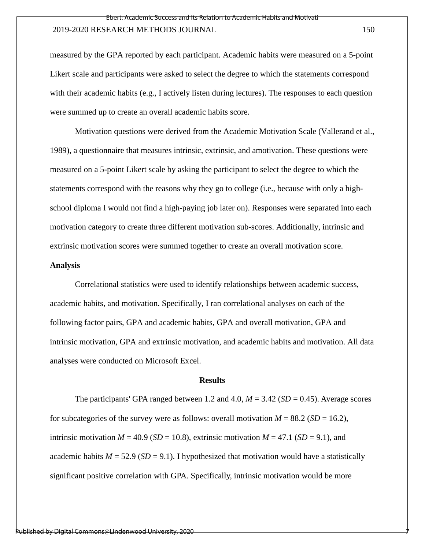measured by the GPA reported by each participant. Academic habits were measured on a 5-point Likert scale and participants were asked to select the degree to which the statements correspond with their academic habits (e.g., I actively listen during lectures). The responses to each question were summed up to create an overall academic habits score.

Motivation questions were derived from the Academic Motivation Scale (Vallerand et al., 1989), a questionnaire that measures intrinsic, extrinsic, and amotivation. These questions were measured on a 5-point Likert scale by asking the participant to select the degree to which the statements correspond with the reasons why they go to college (i.e., because with only a highschool diploma I would not find a high-paying job later on). Responses were separated into each motivation category to create three different motivation sub-scores. Additionally, intrinsic and extrinsic motivation scores were summed together to create an overall motivation score.

#### **Analysis**

Correlational statistics were used to identify relationships between academic success, academic habits, and motivation. Specifically, I ran correlational analyses on each of the following factor pairs, GPA and academic habits, GPA and overall motivation, GPA and intrinsic motivation, GPA and extrinsic motivation, and academic habits and motivation. All data analyses were conducted on Microsoft Excel.

#### **Results**

The participants' GPA ranged between 1.2 and 4.0,  $M = 3.42$  ( $SD = 0.45$ ). Average scores for subcategories of the survey were as follows: overall motivation  $M = 88.2$  (*SD* = 16.2), intrinsic motivation  $M = 40.9$  ( $SD = 10.8$ ), extrinsic motivation  $M = 47.1$  ( $SD = 9.1$ ), and academic habits  $M = 52.9$  ( $SD = 9.1$ ). I hypothesized that motivation would have a statistically significant positive correlation with GPA. Specifically, intrinsic motivation would be more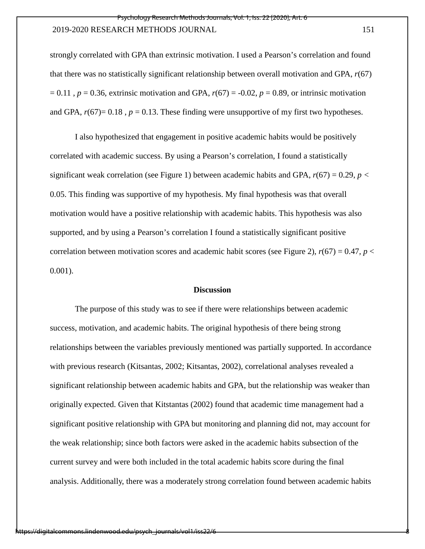strongly correlated with GPA than extrinsic motivation. I used a Pearson's correlation and found that there was no statistically significant relationship between overall motivation and GPA, *r*(67)  $= 0.11$ ,  $p = 0.36$ , extrinsic motivation and GPA,  $r(67) = -0.02$ ,  $p = 0.89$ , or intrinsic motivation and GPA,  $r(67)=0.18$ ,  $p = 0.13$ . These finding were unsupportive of my first two hypotheses.

I also hypothesized that engagement in positive academic habits would be positively correlated with academic success. By using a Pearson's correlation, I found a statistically significant weak correlation (see Figure 1) between academic habits and GPA, *r*(67) = 0.29, *p <* 0.05. This finding was supportive of my hypothesis. My final hypothesis was that overall motivation would have a positive relationship with academic habits. This hypothesis was also supported, and by using a Pearson's correlation I found a statistically significant positive correlation between motivation scores and academic habit scores (see Figure 2),  $r(67) = 0.47$ ,  $p <$ 0.001).

#### **Discussion**

The purpose of this study was to see if there were relationships between academic success, motivation, and academic habits. The original hypothesis of there being strong relationships between the variables previously mentioned was partially supported. In accordance with previous research (Kitsantas, 2002; Kitsantas, 2002), correlational analyses revealed a significant relationship between academic habits and GPA, but the relationship was weaker than originally expected. Given that Kitstantas (2002) found that academic time management had a significant positive relationship with GPA but monitoring and planning did not, may account for the weak relationship; since both factors were asked in the academic habits subsection of the current survey and were both included in the total academic habits score during the final analysis. Additionally, there was a moderately strong correlation found between academic habits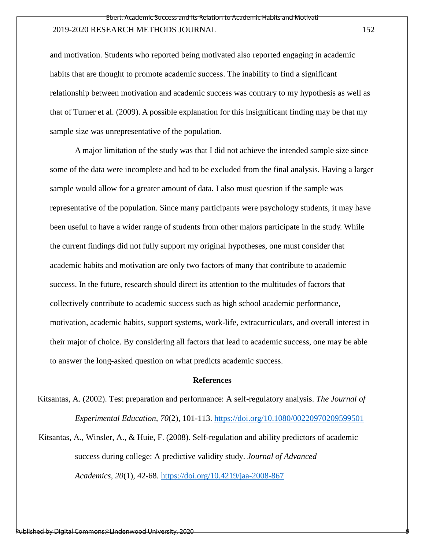and motivation. Students who reported being motivated also reported engaging in academic habits that are thought to promote academic success. The inability to find a significant relationship between motivation and academic success was contrary to my hypothesis as well as that of Turner et al. (2009). A possible explanation for this insignificant finding may be that my sample size was unrepresentative of the population.

 A major limitation of the study was that I did not achieve the intended sample size since some of the data were incomplete and had to be excluded from the final analysis. Having a larger sample would allow for a greater amount of data. I also must question if the sample was representative of the population. Since many participants were psychology students, it may have been useful to have a wider range of students from other majors participate in the study. While the current findings did not fully support my original hypotheses, one must consider that academic habits and motivation are only two factors of many that contribute to academic success. In the future, research should direct its attention to the multitudes of factors that collectively contribute to academic success such as high school academic performance, motivation, academic habits, support systems, work-life, extracurriculars, and overall interest in their major of choice. By considering all factors that lead to academic success, one may be able to answer the long-asked question on what predicts academic success.

#### **References**

Kitsantas, A. (2002). Test preparation and performance: A self-regulatory analysis. *The Journal of Experimental Education, 70*(2), 101-113.<https://doi.org/10.1080/00220970209599501>

Kitsantas, A., Winsler, A., & Huie, F. (2008). Self-regulation and ability predictors of academic success during college: A predictive validity study. *Journal of Advanced Academics*, *20*(1), 42-68.<https://doi.org/10.4219/jaa-2008-867>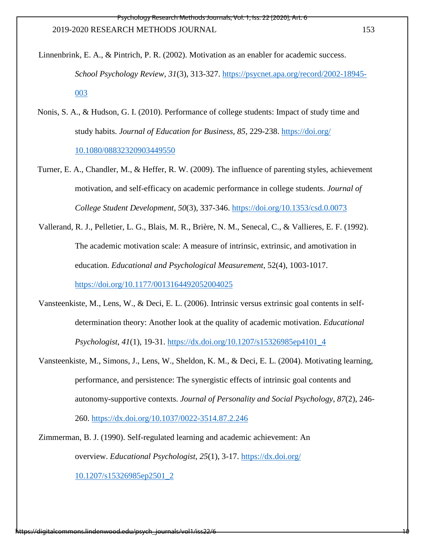- Linnenbrink, E. A., & Pintrich, P. R. (2002). Motivation as an enabler for academic success.  *School Psychology Review, 31*(3)*,* 313-327. [https://psycnet.apa.org/record/2002-18945-](https://psycnet.apa.org/record/2002-18945-003) [003](https://psycnet.apa.org/record/2002-18945-003)
- Nonis, S. A., & Hudson, G. I. (2010). Performance of college students: Impact of study time and study habits. *Journal of Education for Business, 85,* 229-238. [https://doi.org/](https://doi.org/%2010.1080/08832320903449550)  [10.1080/08832320903449550](https://doi.org/%2010.1080/08832320903449550)
- Turner, E. A., Chandler, M., & Heffer, R. W. (2009). The influence of parenting styles, achievement motivation, and self-efficacy on academic performance in college students. *Journal of College Student Development, 50*(3), 337-346.<https://doi.org/10.1353/csd.0.0073>
- Vallerand, R. J., Pelletier, L. G., Blais, M. R., Brière, N. M., Senecal, C., & Vallieres, E. F. (1992). The academic motivation scale: A measure of intrinsic, extrinsic, and amotivation in education. *Educational and Psychological Measurement*, 52(4), 1003-1017. <https://doi.org/10.1177/0013164492052004025>
- Vansteenkiste, M., Lens, W., & Deci, E. L. (2006). Intrinsic versus extrinsic goal contents in selfdetermination theory: Another look at the quality of academic motivation. *Educational Psychologist*, *41*(1), 19-31. [https://dx.doi.org/10.1207/s15326985ep4101\\_4](https://dx.doi.org/10.1207/s15326985ep4101_4)
- Vansteenkiste, M., Simons, J., Lens, W., Sheldon, K. M., & Deci, E. L. (2004). Motivating learning, performance, and persistence: The synergistic effects of intrinsic goal contents and autonomy-supportive contexts. *Journal of Personality and Social Psychology*, *87*(2), 246- 260.<https://dx.doi.org/10.1037/0022-3514.87.2.246>
- Zimmerman, B. J. (1990). Self-regulated learning and academic achievement: An overview. *Educational Psychologist*, *25*(1), 3-17. [https://dx.doi.org/](https://dx.doi.org/10.1207/s15326985ep2501_2)  [10.1207/s15326985ep2501\\_2](https://dx.doi.org/10.1207/s15326985ep2501_2)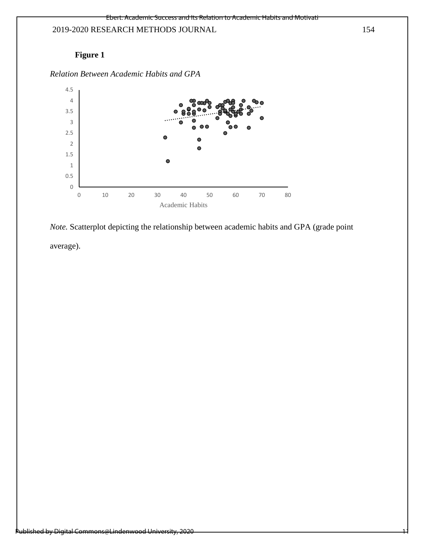# **Figure 1**

*Relation Between Academic Habits and GPA* 



*Note.* Scatterplot depicting the relationship between academic habits and GPA (grade point average).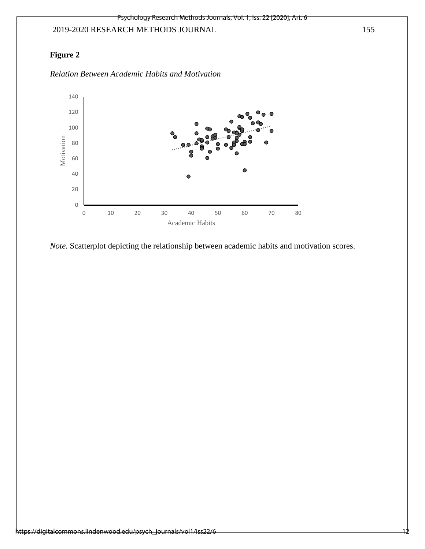# **Figure 2**



*Relation Between Academic Habits and Motivation* 

*Note.* Scatterplot depicting the relationship between academic habits and motivation scores.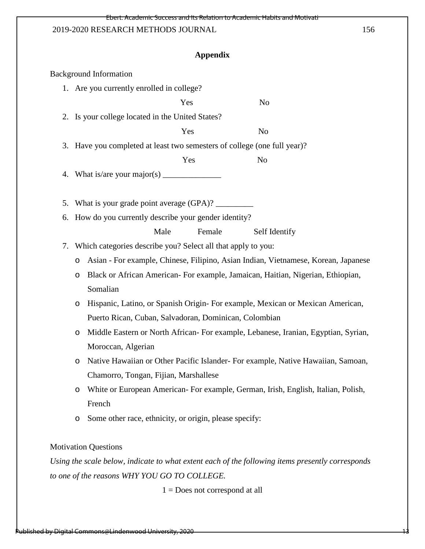# **Appendix**

|                                              |                                                                                             | <b>Background Information</b>                                                                    |  |  |  |  |  |  |  |
|----------------------------------------------|---------------------------------------------------------------------------------------------|--------------------------------------------------------------------------------------------------|--|--|--|--|--|--|--|
|                                              | 1. Are you currently enrolled in college?                                                   |                                                                                                  |  |  |  |  |  |  |  |
|                                              |                                                                                             | Yes<br>N <sub>0</sub>                                                                            |  |  |  |  |  |  |  |
|                                              |                                                                                             | 2. Is your college located in the United States?                                                 |  |  |  |  |  |  |  |
|                                              |                                                                                             | Yes<br>No                                                                                        |  |  |  |  |  |  |  |
|                                              | 3. Have you completed at least two semesters of college (one full year)?                    |                                                                                                  |  |  |  |  |  |  |  |
|                                              |                                                                                             | Yes<br>N <sub>0</sub>                                                                            |  |  |  |  |  |  |  |
| 4.                                           |                                                                                             | What is/are your major(s) $\frac{\ }{\ }$                                                        |  |  |  |  |  |  |  |
| 5.                                           |                                                                                             | What is your grade point average (GPA)? _________                                                |  |  |  |  |  |  |  |
| 6.                                           |                                                                                             |                                                                                                  |  |  |  |  |  |  |  |
|                                              | How do you currently describe your gender identity?<br>Male                                 |                                                                                                  |  |  |  |  |  |  |  |
| 7.                                           |                                                                                             | Female<br>Self Identify<br>Which categories describe you? Select all that apply to you:          |  |  |  |  |  |  |  |
|                                              | $\circ$                                                                                     | Asian - For example, Chinese, Filipino, Asian Indian, Vietnamese, Korean, Japanese               |  |  |  |  |  |  |  |
|                                              | $\circ$                                                                                     | Black or African American-For example, Jamaican, Haitian, Nigerian, Ethiopian,                   |  |  |  |  |  |  |  |
|                                              |                                                                                             | Somalian                                                                                         |  |  |  |  |  |  |  |
|                                              | $\circ$                                                                                     | Hispanic, Latino, or Spanish Origin-For example, Mexican or Mexican American,                    |  |  |  |  |  |  |  |
|                                              |                                                                                             | Puerto Rican, Cuban, Salvadoran, Dominican, Colombian                                            |  |  |  |  |  |  |  |
|                                              | $\circ$                                                                                     | Middle Eastern or North African-For example, Lebanese, Iranian, Egyptian, Syrian,                |  |  |  |  |  |  |  |
|                                              |                                                                                             | Moroccan, Algerian                                                                               |  |  |  |  |  |  |  |
|                                              | $\circ$                                                                                     | Native Hawaiian or Other Pacific Islander- For example, Native Hawaiian, Samoan,                 |  |  |  |  |  |  |  |
|                                              | Chamorro, Tongan, Fijian, Marshallese                                                       |                                                                                                  |  |  |  |  |  |  |  |
|                                              | White or European American-For example, German, Irish, English, Italian, Polish,<br>$\circ$ |                                                                                                  |  |  |  |  |  |  |  |
|                                              |                                                                                             | French                                                                                           |  |  |  |  |  |  |  |
|                                              | $\circ$                                                                                     | Some other race, ethnicity, or origin, please specify:                                           |  |  |  |  |  |  |  |
|                                              |                                                                                             |                                                                                                  |  |  |  |  |  |  |  |
|                                              |                                                                                             | <b>Motivation Questions</b>                                                                      |  |  |  |  |  |  |  |
|                                              |                                                                                             | Using the scale below, indicate to what extent each of the following items presently corresponds |  |  |  |  |  |  |  |
| to one of the reasons WHY YOU GO TO COLLEGE. |                                                                                             |                                                                                                  |  |  |  |  |  |  |  |
| $1 = Does not correspond at all$             |                                                                                             |                                                                                                  |  |  |  |  |  |  |  |
|                                              |                                                                                             |                                                                                                  |  |  |  |  |  |  |  |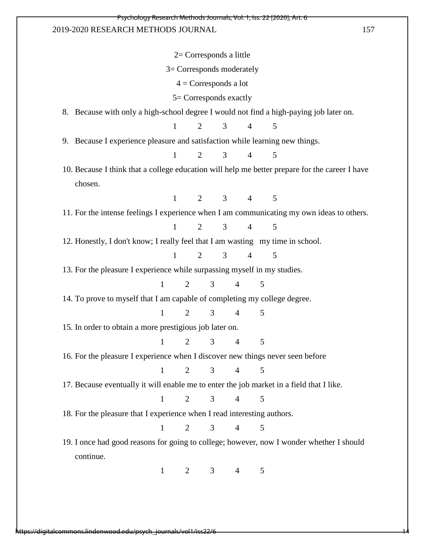2= Corresponds a little 3= Corresponds moderately  $4 =$ Corresponds a lot 5= Corresponds exactly 8. Because with only a high-school degree I would not find a high-paying job later on. 1 2 3 4 5 9. Because I experience pleasure and satisfaction while learning new things. 1 2 3 4 5 10. Because I think that a college education will help me better prepare for the career I have chosen. 1 2 3 4 5 11. For the intense feelings I experience when I am communicating my own ideas to others. 1 2 3 4 5 12. Honestly, I don't know; I really feel that I am wasting my time in school. 1 2 3 4 5 13. For the pleasure I experience while surpassing myself in my studies. 1 2 3 4 5 14. To prove to myself that I am capable of completing my college degree. 1 2 3 4 5 15. In order to obtain a more prestigious job later on. 1 2 3 4 5 16. For the pleasure I experience when I discover new things never seen before 1 2 3 4 5 17. Because eventually it will enable me to enter the job market in a field that I like. 1 2 3 4 5 18. For the pleasure that I experience when I read interesting authors. 1 2 3 4 5 19. I once had good reasons for going to college; however, now I wonder whether I should continue. 1 2 3 4 5

/digitalcommons.lindenwood.edu/psych\_journals/vol1/iss2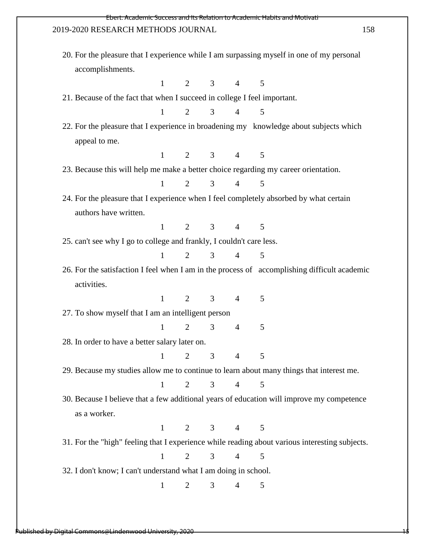mic Success and Its Relation to Academic Habit

### 2019-2020 RESEARCH METHODS JOURNAL 158

- 20. For the pleasure that I experience while I am surpassing myself in one of my personal accomplishments.
	- 1 2 3 4 5
- 21. Because of the fact that when I succeed in college I feel important.
	- 1 2 3 4 5
- 22. For the pleasure that I experience in broadening my knowledge about subjects which appeal to me.
	- 1 2 3 4 5
- 23. Because this will help me make a better choice regarding my career orientation.
	- 1 2 3 4 5
- 24. For the pleasure that I experience when I feel completely absorbed by what certain authors have written.
	- 1 2 3 4 5
- 25. can't see why I go to college and frankly, I couldn't care less.
	- 1 2 3 4 5
- 26. For the satisfaction I feel when I am in the process of accomplishing difficult academic activities.
	- 1 2 3 4 5
- 27. To show myself that I am an intelligent person
	- 1 2 3 4 5
- 28. In order to have a better salary later on.
	- 1 2 3 4 5
- 29. Because my studies allow me to continue to learn about many things that interest me.
	- 1 2 3 4 5
- 30. Because I believe that a few additional years of education will improve my competence as a worker.
	- 1 2 3 4 5
- 31. For the "high" feeling that I experience while reading about various interesting subjects.
	- 1 2 3 4 5
- 32. I don't know; I can't understand what I am doing in school.

1 2 3 4 5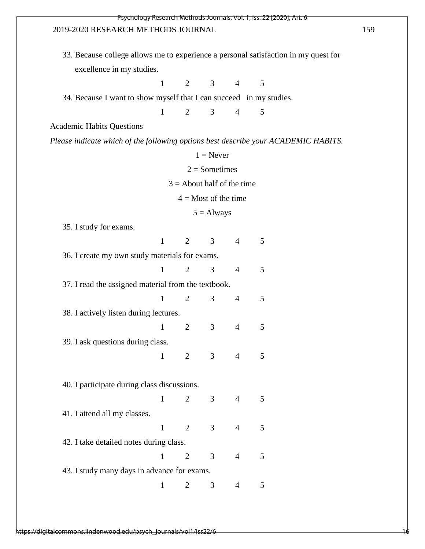- 33. Because college allows me to experience a personal satisfaction in my quest for excellence in my studies.
	- 1 2 3 4 5

34. Because I want to show myself that I can succeed in my studies.

1 2 3 4 5

Academic Habits Questions

*Please indicate which of the following options best describe your ACADEMIC HABITS.* 

```
1 = Never
```
 $2 =$ Sometimes

 $3 =$  About half of the time

 $4 =$ Most of the time

 $5 =$  Always

35. I study for exams.

|                                                     |                                                | 1            | $\overline{2}$ | 3 | 4              | 5 |  |  |
|-----------------------------------------------------|------------------------------------------------|--------------|----------------|---|----------------|---|--|--|
|                                                     | 36. I create my own study materials for exams. |              |                |   |                |   |  |  |
|                                                     |                                                | 1            | $\overline{2}$ | 3 | $\overline{4}$ | 5 |  |  |
| 37. I read the assigned material from the textbook. |                                                |              |                |   |                |   |  |  |
|                                                     |                                                | 1            | $\overline{2}$ | 3 | $\overline{4}$ | 5 |  |  |
|                                                     | 38. I actively listen during lectures.         |              |                |   |                |   |  |  |
|                                                     |                                                | $\mathbf{1}$ | $\overline{2}$ | 3 | $\overline{4}$ | 5 |  |  |
|                                                     | 39. I ask questions during class.              |              |                |   |                |   |  |  |
|                                                     |                                                | $\mathbf{1}$ | $\overline{2}$ | 3 | $\overline{4}$ | 5 |  |  |
|                                                     |                                                |              |                |   |                |   |  |  |
| 40. I participate during class discussions.         |                                                |              |                |   |                |   |  |  |
|                                                     |                                                | $\mathbf{1}$ | $\overline{2}$ | 3 | $\overline{4}$ | 5 |  |  |
|                                                     | 41. I attend all my classes.                   |              |                |   |                |   |  |  |
|                                                     |                                                | $\mathbf{1}$ | $\overline{2}$ | 3 | $\overline{4}$ | 5 |  |  |
|                                                     | 42. I take detailed notes during class.        |              |                |   |                |   |  |  |
|                                                     |                                                | $\mathbf{1}$ | $\overline{2}$ | 3 | $\overline{4}$ | 5 |  |  |
| 43. I study many days in advance for exams.         |                                                |              |                |   |                |   |  |  |
|                                                     |                                                | 1            | 2              | 3 | 4              | 5 |  |  |
|                                                     |                                                |              |                |   |                |   |  |  |